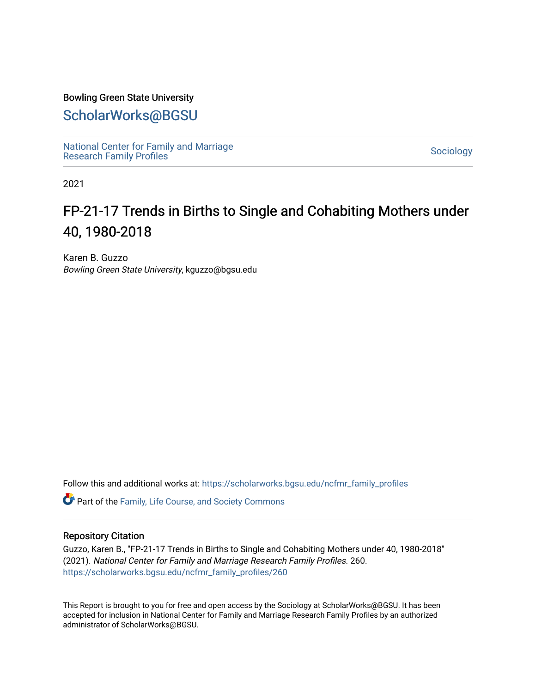#### Bowling Green State University

## [ScholarWorks@BGSU](https://scholarworks.bgsu.edu/)

[National Center for Family and Marriage](https://scholarworks.bgsu.edu/ncfmr_family_profiles)  [Research Family Profiles](https://scholarworks.bgsu.edu/ncfmr_family_profiles) Sociology<br>Research Family Profiles

2021

# FP-21-17 Trends in Births to Single and Cohabiting Mothers under 40, 1980-2018

Karen B. Guzzo Bowling Green State University, kguzzo@bgsu.edu

Follow this and additional works at: [https://scholarworks.bgsu.edu/ncfmr\\_family\\_profiles](https://scholarworks.bgsu.edu/ncfmr_family_profiles?utm_source=scholarworks.bgsu.edu%2Fncfmr_family_profiles%2F260&utm_medium=PDF&utm_campaign=PDFCoverPages)

Part of the [Family, Life Course, and Society Commons](http://network.bepress.com/hgg/discipline/419?utm_source=scholarworks.bgsu.edu%2Fncfmr_family_profiles%2F260&utm_medium=PDF&utm_campaign=PDFCoverPages) 

#### Repository Citation

Guzzo, Karen B., "FP-21-17 Trends in Births to Single and Cohabiting Mothers under 40, 1980-2018" (2021). National Center for Family and Marriage Research Family Profiles. 260. [https://scholarworks.bgsu.edu/ncfmr\\_family\\_profiles/260](https://scholarworks.bgsu.edu/ncfmr_family_profiles/260?utm_source=scholarworks.bgsu.edu%2Fncfmr_family_profiles%2F260&utm_medium=PDF&utm_campaign=PDFCoverPages) 

This Report is brought to you for free and open access by the Sociology at ScholarWorks@BGSU. It has been accepted for inclusion in National Center for Family and Marriage Research Family Profiles by an authorized administrator of ScholarWorks@BGSU.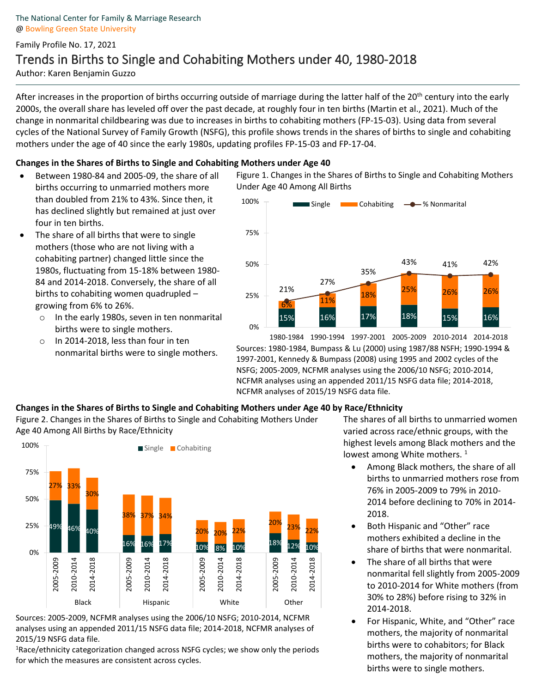### Family Profile No. 17, 2021 Trends in Births to Single and Cohabiting Mothers under 40, 1980-2018 Author: Karen Benjamin Guzzo

After increases in the proportion of births occurring outside of marriage during the latter half of the 20<sup>th</sup> century into the early 2000s, the overall share has leveled off over the past decade, at roughly four in ten births (Martin et al., 2021). Much of the change in nonmarital childbearing was due to increases in births to cohabiting mothers (FP-15-03). Using data from several cycles of the National Survey of Family Growth (NSFG), this profile shows trends in the shares of births to single and cohabiting mothers under the age of 40 since the early 1980s, updating profiles FP-15-03 and FP-17-04.

#### **Changes in the Shares of Births to Single and Cohabiting Mothers under Age 40**

- Between 1980-84 and 2005-09, the share of all births occurring to unmarried mothers more than doubled from 21% to 43%. Since then, it has declined slightly but remained at just over four in ten births.
- The share of all births that were to single mothers (those who are not living with a cohabiting partner) changed little since the 1980s, fluctuating from 15-18% between 1980- 84 and 2014-2018. Conversely, the share of all births to cohabiting women quadrupled – growing from 6% to 26%. •
	- o In the early 1980s, seven in ten nonmarital births were to single mothers.
	- o In 2014-2018, less than four in ten nonmarital births were to single mothers.

Figure 1. Changes in the Shares of Births to Single and Cohabiting Mothers Under Age 40 Among All Births



Sources: 1980-1984, Bumpass & Lu (2000) using 1987/88 NSFH; 1990-1994 & 1997-2001, Kennedy & Bumpass (2008) using 1995 and 2002 cycles of the NSFG; 2005-2009, NCFMR analyses using the 2006/10 NSFG; 2010-2014, NCFMR analyses using an appended 2011/15 NSFG data file; 2014-2018, NCFMR analyses of 2015/19 NSFG data file. 1980-1984 1990-1994 1997-2001 2005-2009 2010-2014 2014-2018

#### **Changes in the Shares of Births to Single and Cohabiting Mothers under Age 40 by Race/Ethnicity**

Figure 2. Changes in the Shares of Births to Single and Cohabiting Mothers Under Age 40 Among All Births by Race/Ethnicity



Sources: 2005-2009, NCFMR analyses using the 2006/10 NSFG; 2010-2014, NCFMR analyses using an appended 2011/15 NSFG data file; 2014-2018, NCFMR analyses of 2015/19 NSFG data file. 1

<sup>1</sup>Race/ethnicity categorization changed across NSFG cycles; we show only the periods for which the measures are consistent across cycles.

The shares of all births to unmarried women varied across race/ethnic groups, with the highest levels among Black mothers and the lowest among White mothers.<sup>1</sup>

- Among Black mothers, the share of all births to unmarried mothers rose from 76% in 2005-2009 to 79% in 2010- 2014 before declining to 70% in 2014- 2018.
- Both Hispanic and "Other" race mothers exhibited a decline in the share of births that were nonmarital.
- The share of all births that were nonmarital fell slightly from 2005-2009 to 2010-2014 for White mothers (from 30% to 28%) before rising to 32% in 2014-2018.
- For Hispanic, White, and "Other" race mothers, the majority of nonmarital births were to cohabitors; for Black mothers, the majority of nonmarital births were to single mothers.